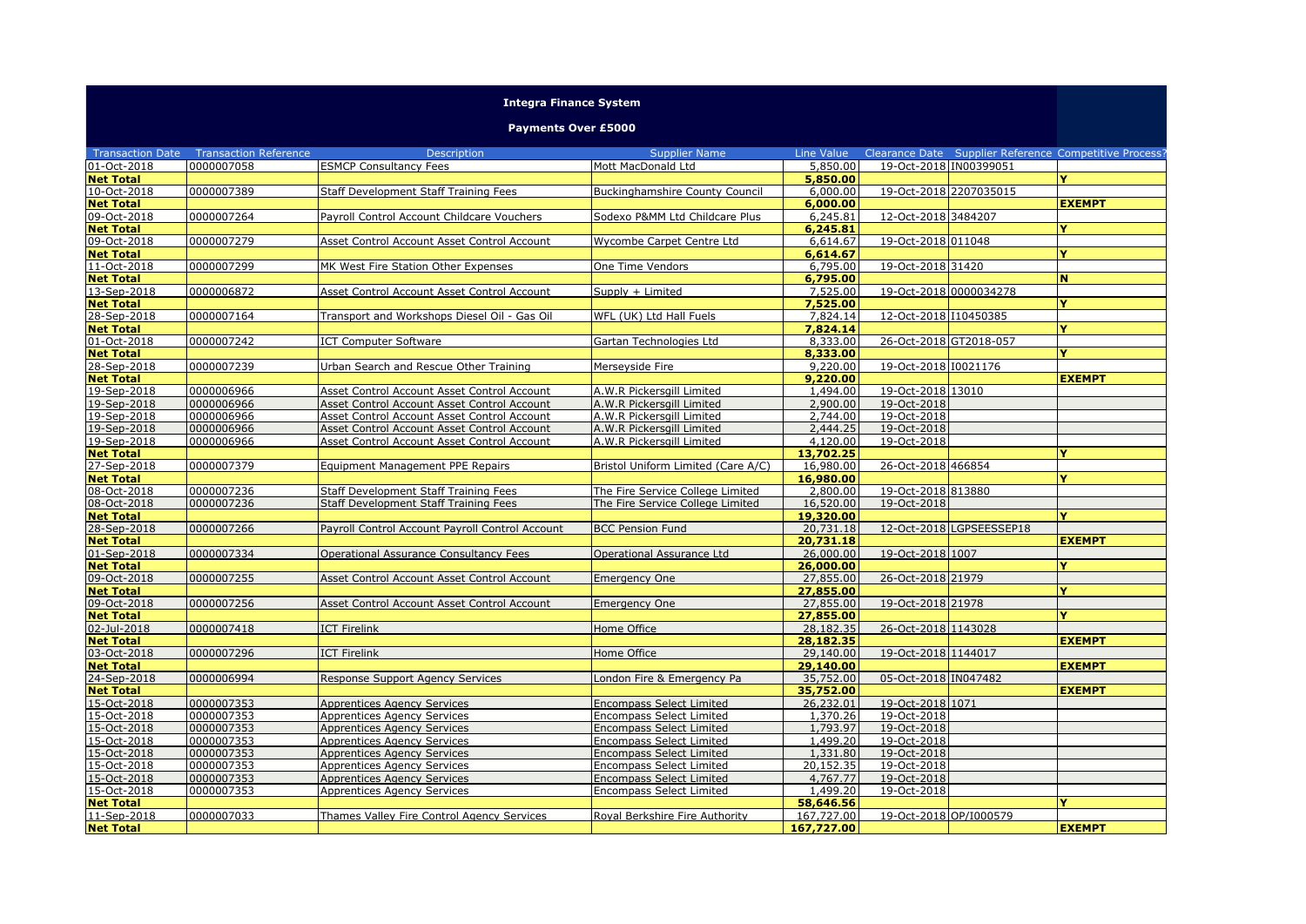## **Integra Finance System**

**Payments Over £5000**

| <b>Transaction Date</b>         | <b>Transaction Reference</b> | <b>Description</b>                                                             | <b>Supplier Name</b>                                                 | Line Value            |                        |                          | Clearance Date Supplier Reference Competitive Process? |
|---------------------------------|------------------------------|--------------------------------------------------------------------------------|----------------------------------------------------------------------|-----------------------|------------------------|--------------------------|--------------------------------------------------------|
| 01-Oct-2018                     | 0000007058                   | <b>ESMCP Consultancy Fees</b>                                                  | Mott MacDonald Ltd                                                   | 5,850.00              | 19-Oct-2018 IN00399051 |                          |                                                        |
| <b>Net Total</b>                |                              |                                                                                |                                                                      | 5,850.00              |                        |                          |                                                        |
| 10-Oct-2018                     | 0000007389                   | Staff Development Staff Training Fees                                          | <b>Buckinghamshire County Council</b>                                | 6,000.00              | 19-Oct-2018 2207035015 |                          |                                                        |
| <b>Net Total</b>                |                              |                                                                                |                                                                      | 6,000.00              |                        |                          | <b>EXEMPT</b>                                          |
| 09-Oct-2018                     | 0000007264                   | Payroll Control Account Childcare Vouchers                                     | Sodexo P&MM Ltd Childcare Plus                                       | 6,245.81              | 12-Oct-2018 3484207    |                          |                                                        |
| <b>Net Total</b>                |                              |                                                                                |                                                                      | 6,245.81              |                        |                          |                                                        |
| 09-Oct-2018                     | 0000007279                   | Asset Control Account Asset Control Account                                    | Wycombe Carpet Centre Ltd                                            | 6,614.67              | 19-Oct-2018 011048     |                          |                                                        |
| <b>Net Total</b>                |                              |                                                                                |                                                                      | 6,614.67              |                        |                          | Y                                                      |
| 11-Oct-2018                     | 0000007299                   | MK West Fire Station Other Expenses                                            | One Time Vendors                                                     | 6,795.00              | 19-Oct-2018 31420      |                          |                                                        |
| <b>Net Total</b>                |                              |                                                                                |                                                                      | 6,795.00              |                        |                          | N                                                      |
| 13-Sep-2018                     | 0000006872                   | Asset Control Account Asset Control Account                                    | Supply + Limited                                                     | 7,525.00              | 19-Oct-2018 0000034278 |                          |                                                        |
| <b>Net Total</b>                |                              |                                                                                |                                                                      | 7,525.00              |                        |                          | Y                                                      |
| 28-Sep-2018                     | 0000007164                   | Transport and Workshops Diesel Oil - Gas Oil                                   | WFL (UK) Ltd Hall Fuels                                              | 7,824.14              | 12-Oct-2018 110450385  |                          |                                                        |
| <b>Net Total</b>                |                              |                                                                                |                                                                      | 7,824.14              |                        |                          | v                                                      |
| 01-Oct-2018                     | 0000007242                   | <b>ICT Computer Software</b>                                                   | Gartan Technologies Ltd                                              | 8,333.00              | 26-Oct-2018 GT2018-057 |                          |                                                        |
| <b>Net Total</b>                |                              |                                                                                |                                                                      | 8,333.00              |                        |                          | v                                                      |
| 28-Sep-2018                     | 0000007239                   | Urban Search and Rescue Other Training                                         | Merseyside Fire                                                      | 9,220.00              | 19-Oct-2018 10021176   |                          |                                                        |
| <b>Net Total</b>                |                              |                                                                                |                                                                      | 9,220,00              |                        |                          | <b>EXEMPT</b>                                          |
| 19-Sep-2018                     | 0000006966                   | Asset Control Account Asset Control Account                                    | A.W.R Pickersgill Limited                                            | 1,494.00              | 19-Oct-2018 13010      |                          |                                                        |
| 19-Sep-2018                     | 0000006966                   | Asset Control Account Asset Control Account                                    | A.W.R Pickersgill Limited                                            | 2,900.00              | 19-Oct-2018            |                          |                                                        |
| 19-Sep-2018                     | 0000006966                   | Asset Control Account Asset Control Account                                    | A.W.R Pickersgill Limited                                            | 2,744.00              | 19-Oct-2018            |                          |                                                        |
| 19-Sep-2018                     | 0000006966                   | Asset Control Account Asset Control Account                                    | A.W.R Pickersgill Limited                                            | 2,444.25              | 19-Oct-2018            |                          |                                                        |
| 19-Sep-2018                     | 0000006966                   | Asset Control Account Asset Control Account                                    | A.W.R Pickersgill Limited                                            | 4,120.00              | 19-Oct-2018            |                          | Ÿ                                                      |
| <b>Net Total</b>                |                              |                                                                                |                                                                      | 13,702.25             |                        |                          |                                                        |
| 27-Sep-2018                     | 0000007379                   | <b>Equipment Management PPE Repairs</b>                                        | Bristol Uniform Limited (Care A/C)                                   | 16,980.00             | 26-Oct-2018 466854     |                          | v                                                      |
| <b>Net Total</b><br>08-Oct-2018 | 0000007236                   |                                                                                |                                                                      | 16,980.00<br>2,800.00 | 19-Oct-2018 813880     |                          |                                                        |
| 08-Oct-2018                     | 0000007236                   | Staff Development Staff Training Fees<br>Staff Development Staff Training Fees | The Fire Service College Limited<br>The Fire Service College Limited | 16,520.00             | 19-Oct-2018            |                          |                                                        |
| <b>Net Total</b>                |                              |                                                                                |                                                                      | 19,320.00             |                        |                          | v                                                      |
| 28-Sep-2018                     | 0000007266                   | Payroll Control Account Payroll Control Account                                | <b>BCC Pension Fund</b>                                              | 20,731.18             |                        | 12-Oct-2018 LGPSEESSEP18 |                                                        |
| <b>Net Total</b>                |                              |                                                                                |                                                                      | 20,731.18             |                        |                          | <b>EXEMPT</b>                                          |
| 01-Sep-2018                     | 0000007334                   | Operational Assurance Consultancy Fees                                         | Operational Assurance Ltd                                            | 26,000.00             | 19-Oct-2018 1007       |                          |                                                        |
| <b>Net Total</b>                |                              |                                                                                |                                                                      | 26,000.00             |                        |                          | $\mathbf{v}$                                           |
| 09-Oct-2018                     | 0000007255                   | Asset Control Account Asset Control Account                                    | <b>Emergency One</b>                                                 | 27,855.00             | 26-Oct-2018 21979      |                          |                                                        |
| <b>Net Total</b>                |                              |                                                                                |                                                                      | 27,855.00             |                        |                          | Y                                                      |
| 09-Oct-2018                     | 0000007256                   | Asset Control Account Asset Control Account                                    | <b>Emergency One</b>                                                 | 27,855.00             | 19-Oct-2018 21978      |                          |                                                        |
| <b>Net Total</b>                |                              |                                                                                |                                                                      | 27,855.00             |                        |                          |                                                        |
| 02-Jul-2018                     | 0000007418                   | <b>ICT Firelink</b>                                                            | Home Office                                                          | 28,182.35             | 26-Oct-2018 1143028    |                          |                                                        |
| <b>Net Total</b>                |                              |                                                                                |                                                                      | 28,182.35             |                        |                          | <b>EXEMPT</b>                                          |
| 03-Oct-2018                     | 0000007296                   | <b>ICT Firelink</b>                                                            | Home Office                                                          | 29,140.00             | 19-Oct-2018 1144017    |                          |                                                        |
| <b>Net Total</b>                |                              |                                                                                |                                                                      | 29,140.00             |                        |                          | <b>EXEMPT</b>                                          |
| 24-Sep-2018                     | 0000006994                   | Response Support Agency Services                                               | London Fire & Emergency Pa                                           | 35,752.00             | 05-Oct-2018 IN047482   |                          |                                                        |
| <b>Net Total</b>                |                              |                                                                                |                                                                      | 35,752.00             |                        |                          | <b>EXEMPT</b>                                          |
| 15-Oct-2018                     | 0000007353                   | <b>Apprentices Agency Services</b>                                             | <b>Encompass Select Limited</b>                                      | 26,232.01             | 19-Oct-2018 1071       |                          |                                                        |
| 15-Oct-2018                     | 0000007353                   | <b>Apprentices Agency Services</b>                                             | Encompass Select Limited                                             | 1,370.26              | 19-Oct-2018            |                          |                                                        |
| 15-Oct-2018                     | 0000007353                   | <b>Apprentices Agency Services</b>                                             | <b>Encompass Select Limited</b>                                      | 1,793.97              | 19-Oct-2018            |                          |                                                        |
| 15-Oct-2018                     | 0000007353                   | <b>Apprentices Agency Services</b>                                             | <b>Encompass Select Limited</b>                                      | 1,499.20              | 19-Oct-2018            |                          |                                                        |
| 15-Oct-2018                     | 0000007353                   | <b>Apprentices Agency Services</b>                                             | <b>Encompass Select Limited</b>                                      | 1,331.80              | 19-Oct-2018            |                          |                                                        |
| 15-Oct-2018                     | 0000007353                   | <b>Apprentices Agency Services</b>                                             | Encompass Select Limited                                             | 20,152.35             | 19-Oct-2018            |                          |                                                        |
| 15-Oct-2018                     | 0000007353                   | <b>Apprentices Agency Services</b>                                             | <b>Encompass Select Limited</b>                                      | 4,767.77              | 19-Oct-2018            |                          |                                                        |
| 15-Oct-2018                     | 0000007353                   | Apprentices Agency Services                                                    | <b>Encompass Select Limited</b>                                      | 1,499.20              | 19-Oct-2018            |                          |                                                        |
| <b>Net Total</b>                |                              |                                                                                |                                                                      | 58,646.56             |                        |                          |                                                        |
| 11-Sep-2018                     | 0000007033                   | Thames Valley Fire Control Agency Services                                     | Royal Berkshire Fire Authority                                       | 167,727.00            | 19-Oct-2018 OP/I000579 |                          |                                                        |
| <b>Net Total</b>                |                              |                                                                                |                                                                      | 167,727.00            |                        |                          | <b>EXEMPT</b>                                          |